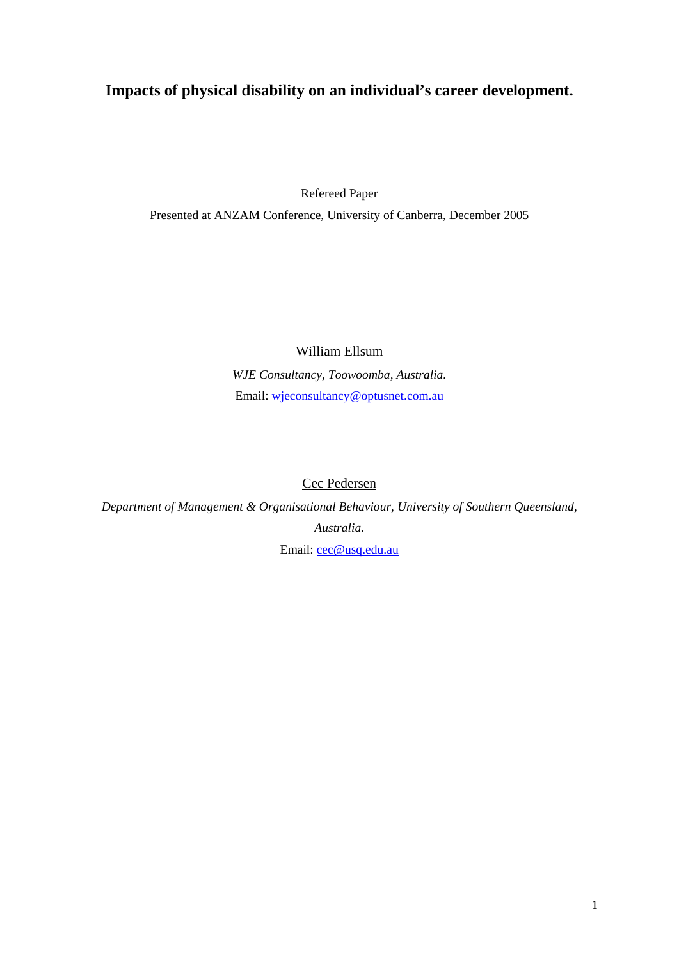# **Impacts of physical disability on an individual's career development.**

Refereed Paper

Presented at ANZAM Conference, University of Canberra, December 2005

William Ellsum *WJE Consultancy, Toowoomba, Australia.*  Email: [wjeconsultancy@optusnet.com.au](mailto:wjeconsultancy@optusnet.com.au)

Cec Pedersen

*Department of Management & Organisational Behaviour, University of Southern Queensland, Australia*. Email: [cec@usq.edu.au](mailto:cec@usq.edu.au)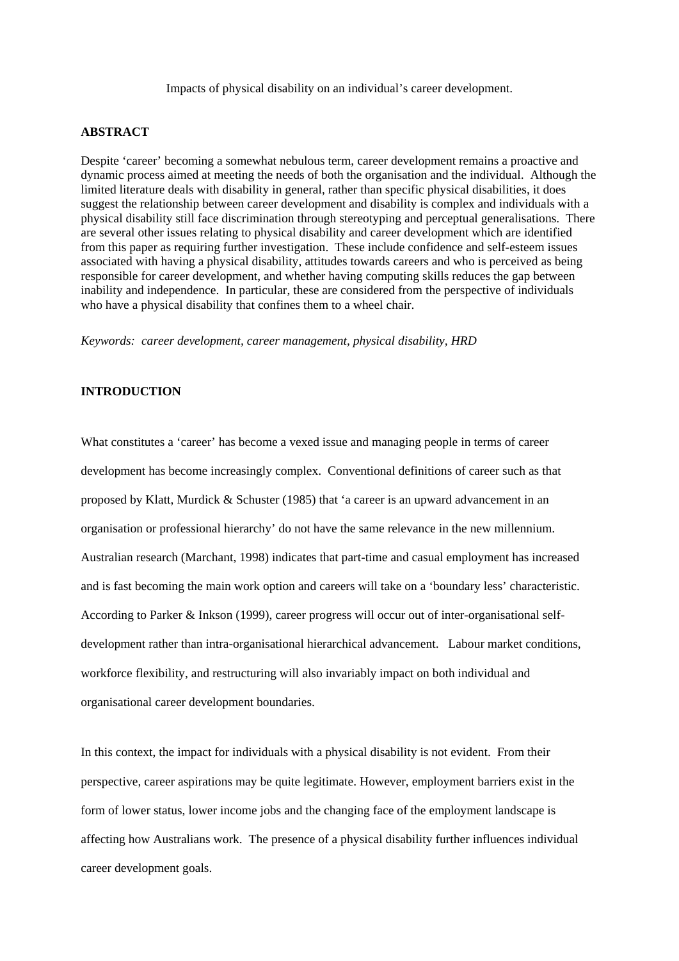Impacts of physical disability on an individual's career development.

# **ABSTRACT**

Despite 'career' becoming a somewhat nebulous term, career development remains a proactive and dynamic process aimed at meeting the needs of both the organisation and the individual. Although the limited literature deals with disability in general, rather than specific physical disabilities, it does suggest the relationship between career development and disability is complex and individuals with a physical disability still face discrimination through stereotyping and perceptual generalisations. There are several other issues relating to physical disability and career development which are identified from this paper as requiring further investigation. These include confidence and self-esteem issues associated with having a physical disability, attitudes towards careers and who is perceived as being responsible for career development, and whether having computing skills reduces the gap between inability and independence. In particular, these are considered from the perspective of individuals who have a physical disability that confines them to a wheel chair.

*Keywords: career development, career management, physical disability, HRD* 

#### **INTRODUCTION**

What constitutes a 'career' has become a vexed issue and managing people in terms of career development has become increasingly complex. Conventional definitions of career such as that proposed by Klatt, Murdick & Schuster (1985) that 'a career is an upward advancement in an organisation or professional hierarchy' do not have the same relevance in the new millennium. Australian research (Marchant, 1998) indicates that part-time and casual employment has increased and is fast becoming the main work option and careers will take on a 'boundary less' characteristic. According to Parker & Inkson (1999), career progress will occur out of inter-organisational selfdevelopment rather than intra-organisational hierarchical advancement. Labour market conditions, workforce flexibility, and restructuring will also invariably impact on both individual and organisational career development boundaries.

In this context, the impact for individuals with a physical disability is not evident. From their perspective, career aspirations may be quite legitimate. However, employment barriers exist in the form of lower status, lower income jobs and the changing face of the employment landscape is affecting how Australians work. The presence of a physical disability further influences individual career development goals.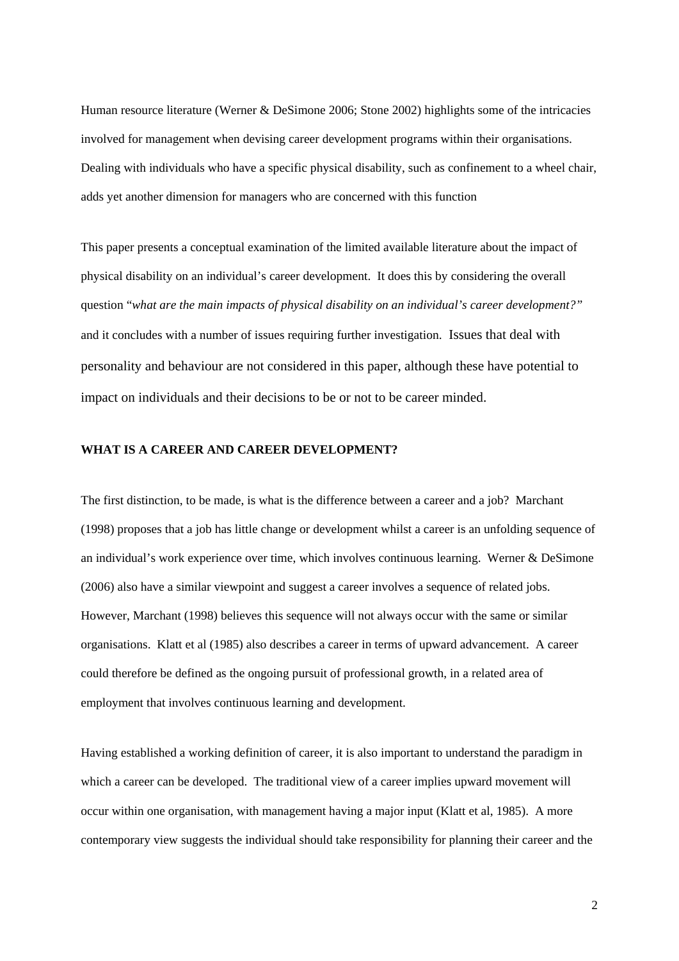Human resource literature (Werner & DeSimone 2006; Stone 2002) highlights some of the intricacies involved for management when devising career development programs within their organisations. Dealing with individuals who have a specific physical disability, such as confinement to a wheel chair, adds yet another dimension for managers who are concerned with this function

This paper presents a conceptual examination of the limited available literature about the impact of physical disability on an individual's career development. It does this by considering the overall question "*what are the main impacts of physical disability on an individual's career development?"*  and it concludes with a number of issues requiring further investigation. Issues that deal with personality and behaviour are not considered in this paper, although these have potential to impact on individuals and their decisions to be or not to be career minded.

### **WHAT IS A CAREER AND CAREER DEVELOPMENT?**

The first distinction, to be made, is what is the difference between a career and a job? Marchant (1998) proposes that a job has little change or development whilst a career is an unfolding sequence of an individual's work experience over time, which involves continuous learning. Werner & DeSimone (2006) also have a similar viewpoint and suggest a career involves a sequence of related jobs. However, Marchant (1998) believes this sequence will not always occur with the same or similar organisations. Klatt et al (1985) also describes a career in terms of upward advancement. A career could therefore be defined as the ongoing pursuit of professional growth, in a related area of employment that involves continuous learning and development.

Having established a working definition of career, it is also important to understand the paradigm in which a career can be developed. The traditional view of a career implies upward movement will occur within one organisation, with management having a major input (Klatt et al, 1985). A more contemporary view suggests the individual should take responsibility for planning their career and the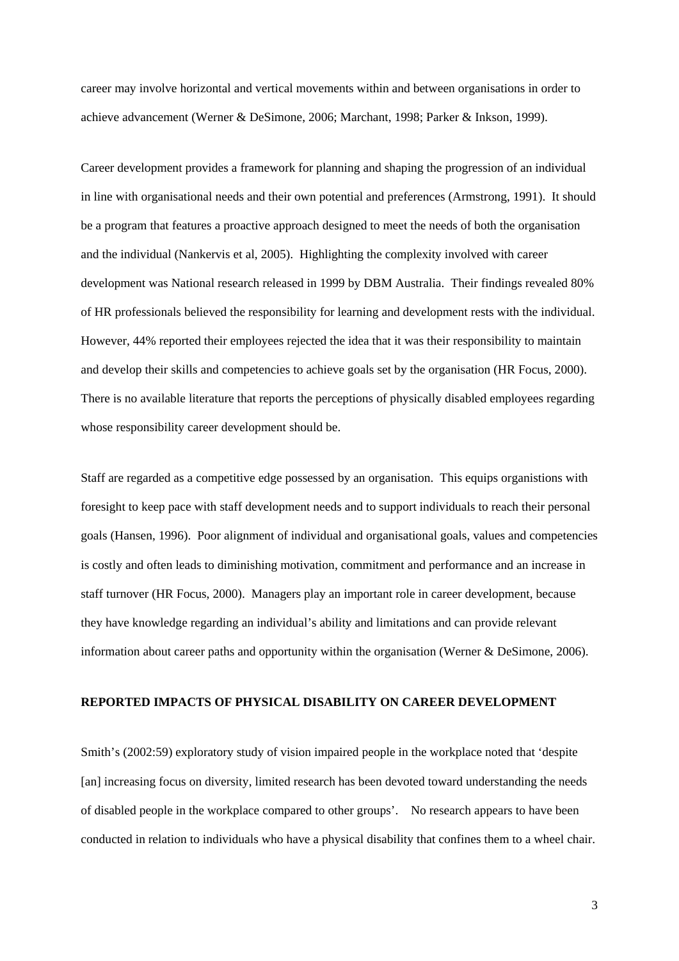career may involve horizontal and vertical movements within and between organisations in order to achieve advancement (Werner & DeSimone, 2006; Marchant, 1998; Parker & Inkson, 1999).

Career development provides a framework for planning and shaping the progression of an individual in line with organisational needs and their own potential and preferences (Armstrong, 1991). It should be a program that features a proactive approach designed to meet the needs of both the organisation and the individual (Nankervis et al, 2005). Highlighting the complexity involved with career development was National research released in 1999 by DBM Australia. Their findings revealed 80% of HR professionals believed the responsibility for learning and development rests with the individual. However, 44% reported their employees rejected the idea that it was their responsibility to maintain and develop their skills and competencies to achieve goals set by the organisation (HR Focus, 2000). There is no available literature that reports the perceptions of physically disabled employees regarding whose responsibility career development should be.

Staff are regarded as a competitive edge possessed by an organisation. This equips organistions with foresight to keep pace with staff development needs and to support individuals to reach their personal goals (Hansen, 1996). Poor alignment of individual and organisational goals, values and competencies is costly and often leads to diminishing motivation, commitment and performance and an increase in staff turnover (HR Focus, 2000). Managers play an important role in career development, because they have knowledge regarding an individual's ability and limitations and can provide relevant information about career paths and opportunity within the organisation (Werner & DeSimone, 2006).

#### **REPORTED IMPACTS OF PHYSICAL DISABILITY ON CAREER DEVELOPMENT**

Smith's (2002:59) exploratory study of vision impaired people in the workplace noted that 'despite [an] increasing focus on diversity, limited research has been devoted toward understanding the needs of disabled people in the workplace compared to other groups'. No research appears to have been conducted in relation to individuals who have a physical disability that confines them to a wheel chair.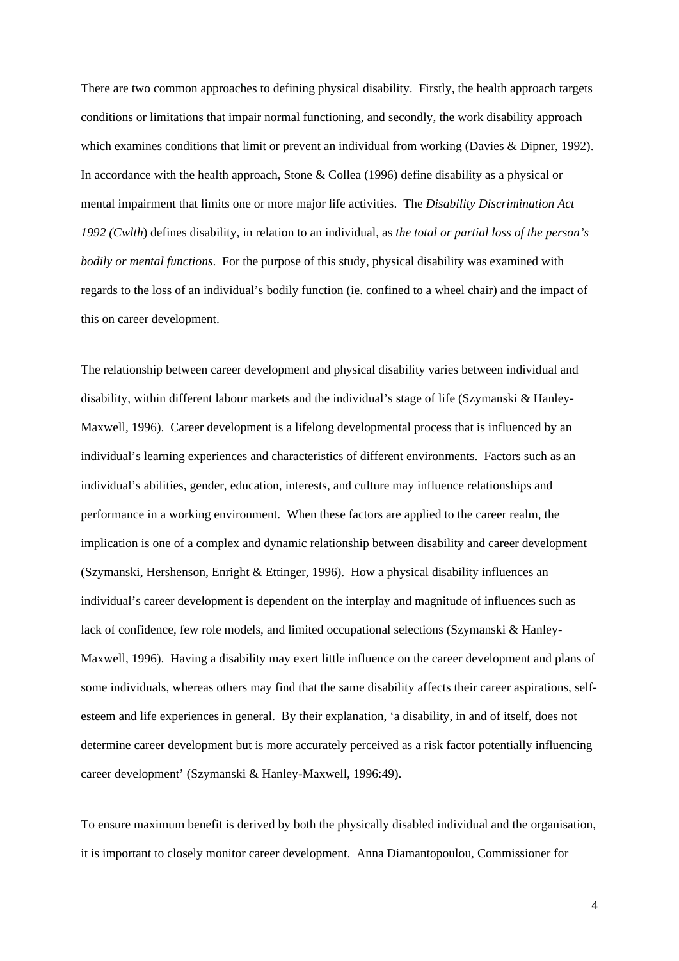There are two common approaches to defining physical disability. Firstly, the health approach targets conditions or limitations that impair normal functioning, and secondly, the work disability approach which examines conditions that limit or prevent an individual from working (Davies & Dipner, 1992). In accordance with the health approach, Stone & Collea (1996) define disability as a physical or mental impairment that limits one or more major life activities. The *Disability Discrimination Act 1992 (Cwlth*) defines disability, in relation to an individual, as *the total or partial loss of the person's bodily or mental functions*. For the purpose of this study, physical disability was examined with regards to the loss of an individual's bodily function (ie. confined to a wheel chair) and the impact of this on career development.

The relationship between career development and physical disability varies between individual and disability, within different labour markets and the individual's stage of life (Szymanski & Hanley-Maxwell, 1996). Career development is a lifelong developmental process that is influenced by an individual's learning experiences and characteristics of different environments. Factors such as an individual's abilities, gender, education, interests, and culture may influence relationships and performance in a working environment. When these factors are applied to the career realm, the implication is one of a complex and dynamic relationship between disability and career development (Szymanski, Hershenson, Enright & Ettinger, 1996). How a physical disability influences an individual's career development is dependent on the interplay and magnitude of influences such as lack of confidence, few role models, and limited occupational selections (Szymanski & Hanley-Maxwell, 1996). Having a disability may exert little influence on the career development and plans of some individuals, whereas others may find that the same disability affects their career aspirations, selfesteem and life experiences in general. By their explanation, 'a disability, in and of itself, does not determine career development but is more accurately perceived as a risk factor potentially influencing career development' (Szymanski & Hanley-Maxwell, 1996:49).

To ensure maximum benefit is derived by both the physically disabled individual and the organisation, it is important to closely monitor career development. Anna Diamantopoulou, Commissioner for

4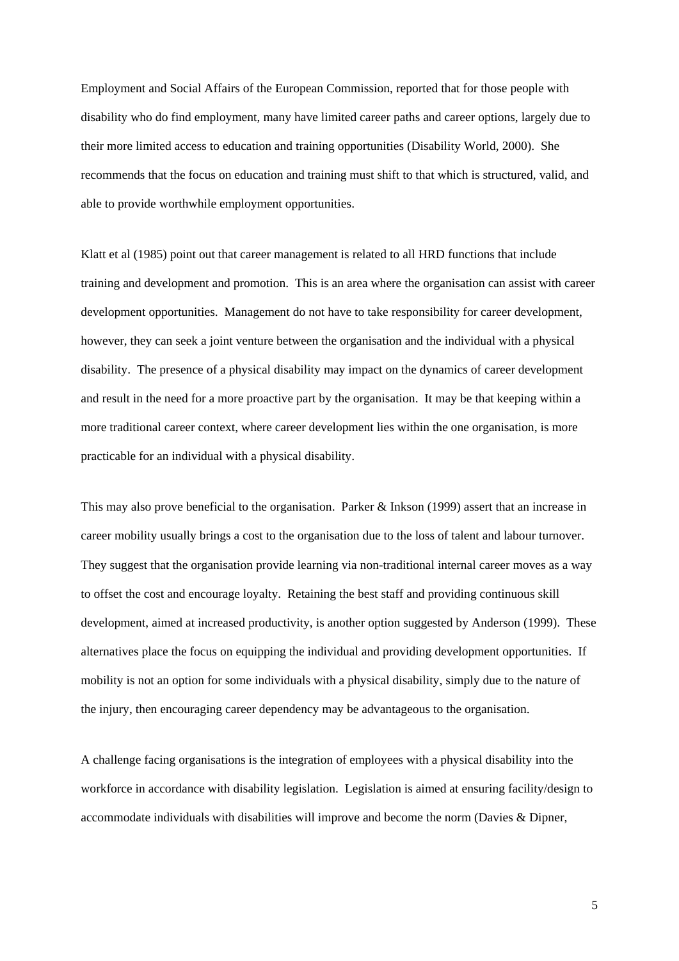Employment and Social Affairs of the European Commission, reported that for those people with disability who do find employment, many have limited career paths and career options, largely due to their more limited access to education and training opportunities (Disability World, 2000). She recommends that the focus on education and training must shift to that which is structured, valid, and able to provide worthwhile employment opportunities.

Klatt et al (1985) point out that career management is related to all HRD functions that include training and development and promotion. This is an area where the organisation can assist with career development opportunities. Management do not have to take responsibility for career development, however, they can seek a joint venture between the organisation and the individual with a physical disability. The presence of a physical disability may impact on the dynamics of career development and result in the need for a more proactive part by the organisation. It may be that keeping within a more traditional career context, where career development lies within the one organisation, is more practicable for an individual with a physical disability.

This may also prove beneficial to the organisation. Parker & Inkson (1999) assert that an increase in career mobility usually brings a cost to the organisation due to the loss of talent and labour turnover. They suggest that the organisation provide learning via non-traditional internal career moves as a way to offset the cost and encourage loyalty. Retaining the best staff and providing continuous skill development, aimed at increased productivity, is another option suggested by Anderson (1999). These alternatives place the focus on equipping the individual and providing development opportunities. If mobility is not an option for some individuals with a physical disability, simply due to the nature of the injury, then encouraging career dependency may be advantageous to the organisation.

A challenge facing organisations is the integration of employees with a physical disability into the workforce in accordance with disability legislation. Legislation is aimed at ensuring facility/design to accommodate individuals with disabilities will improve and become the norm (Davies & Dipner,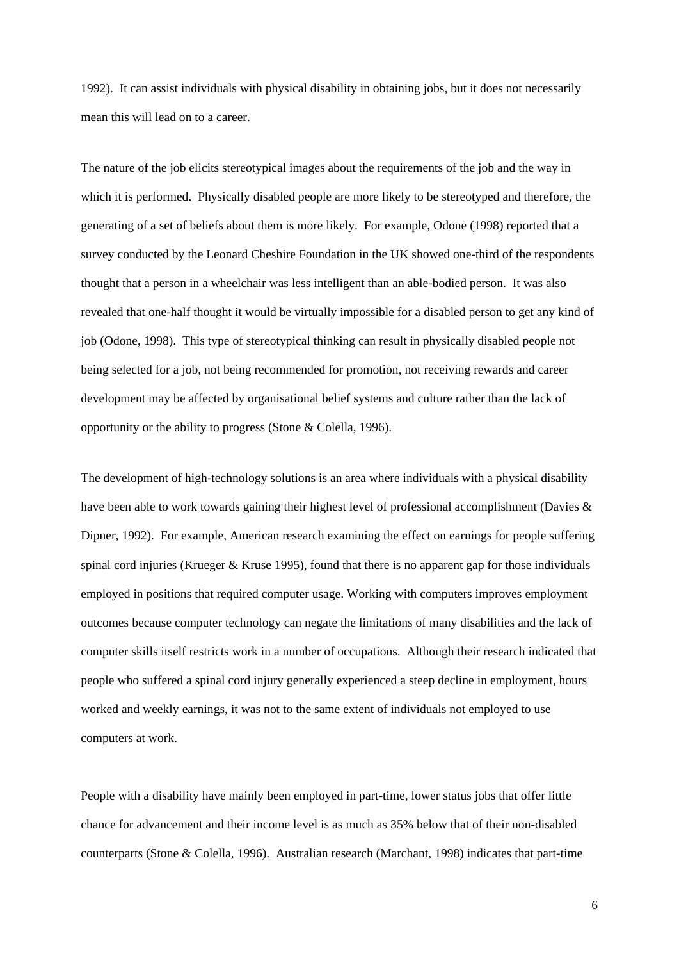1992). It can assist individuals with physical disability in obtaining jobs, but it does not necessarily mean this will lead on to a career.

The nature of the job elicits stereotypical images about the requirements of the job and the way in which it is performed. Physically disabled people are more likely to be stereotyped and therefore, the generating of a set of beliefs about them is more likely. For example, Odone (1998) reported that a survey conducted by the Leonard Cheshire Foundation in the UK showed one-third of the respondents thought that a person in a wheelchair was less intelligent than an able-bodied person. It was also revealed that one-half thought it would be virtually impossible for a disabled person to get any kind of job (Odone, 1998). This type of stereotypical thinking can result in physically disabled people not being selected for a job, not being recommended for promotion, not receiving rewards and career development may be affected by organisational belief systems and culture rather than the lack of opportunity or the ability to progress (Stone & Colella, 1996).

The development of high-technology solutions is an area where individuals with a physical disability have been able to work towards gaining their highest level of professional accomplishment (Davies & Dipner, 1992). For example, American research examining the effect on earnings for people suffering spinal cord injuries (Krueger & Kruse 1995), found that there is no apparent gap for those individuals employed in positions that required computer usage. Working with computers improves employment outcomes because computer technology can negate the limitations of many disabilities and the lack of computer skills itself restricts work in a number of occupations. Although their research indicated that people who suffered a spinal cord injury generally experienced a steep decline in employment, hours worked and weekly earnings, it was not to the same extent of individuals not employed to use computers at work.

People with a disability have mainly been employed in part-time, lower status jobs that offer little chance for advancement and their income level is as much as 35% below that of their non-disabled counterparts (Stone & Colella, 1996). Australian research (Marchant, 1998) indicates that part-time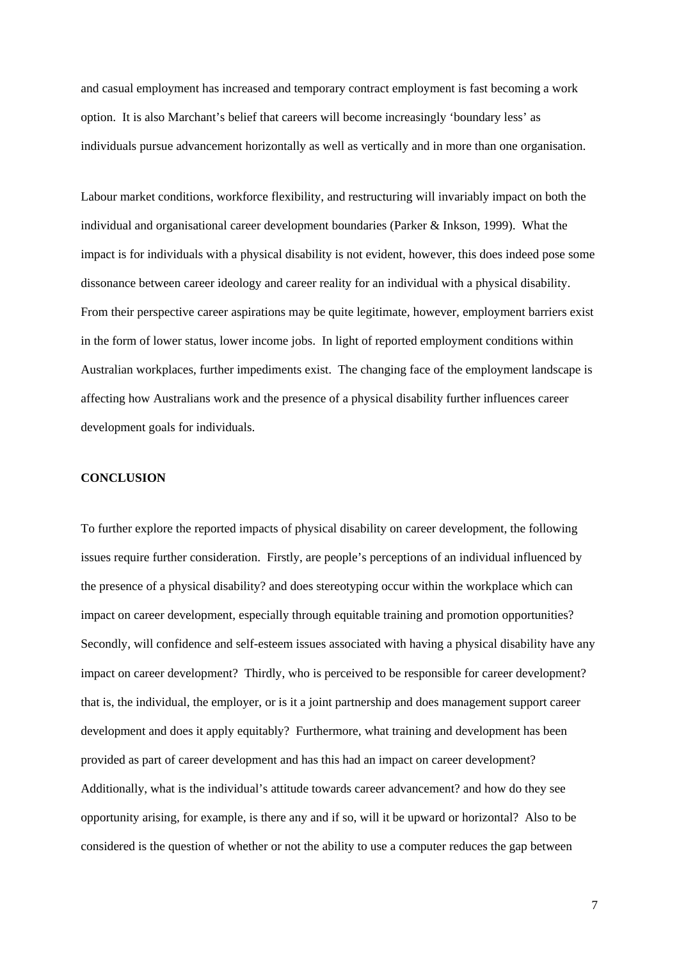and casual employment has increased and temporary contract employment is fast becoming a work option. It is also Marchant's belief that careers will become increasingly 'boundary less' as individuals pursue advancement horizontally as well as vertically and in more than one organisation.

Labour market conditions, workforce flexibility, and restructuring will invariably impact on both the individual and organisational career development boundaries (Parker & Inkson, 1999). What the impact is for individuals with a physical disability is not evident, however, this does indeed pose some dissonance between career ideology and career reality for an individual with a physical disability. From their perspective career aspirations may be quite legitimate, however, employment barriers exist in the form of lower status, lower income jobs. In light of reported employment conditions within Australian workplaces, further impediments exist. The changing face of the employment landscape is affecting how Australians work and the presence of a physical disability further influences career development goals for individuals.

#### **CONCLUSION**

To further explore the reported impacts of physical disability on career development, the following issues require further consideration. Firstly, are people's perceptions of an individual influenced by the presence of a physical disability? and does stereotyping occur within the workplace which can impact on career development, especially through equitable training and promotion opportunities? Secondly, will confidence and self-esteem issues associated with having a physical disability have any impact on career development? Thirdly, who is perceived to be responsible for career development? that is, the individual, the employer, or is it a joint partnership and does management support career development and does it apply equitably? Furthermore, what training and development has been provided as part of career development and has this had an impact on career development? Additionally, what is the individual's attitude towards career advancement? and how do they see opportunity arising, for example, is there any and if so, will it be upward or horizontal? Also to be considered is the question of whether or not the ability to use a computer reduces the gap between

7